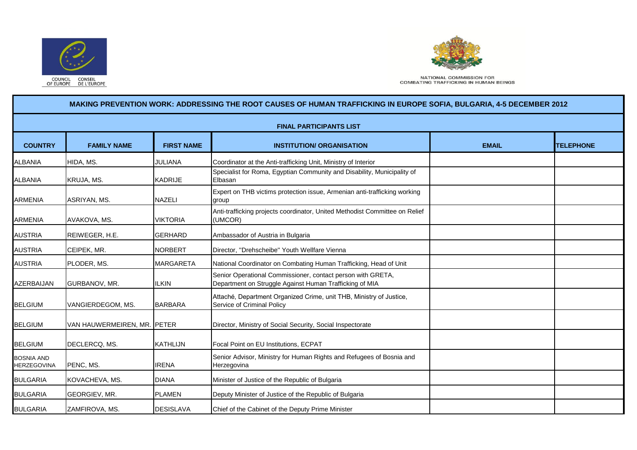



NATIONAL COMMISSION FOR **COMBATING TRAFFICKING IN HUMAN BEINGS** 

## **COUNTRY FAMILY NAME FIRST NAME INSTITUTION/ ORGANISATION EMAIL TELEPHONE** ALBANIA HIDA, MS. JULIANA Coordinator at the Anti-trafficking Unit, Ministry of Interior ALBANIA KRUJA, MS. KADRIJE Specialist for Roma, Egyptian Community and Disability, Municipality of Elbasan ARMENIA ASRIYAN, MS. NAZELI Expert on THB victims protection issue, Armenian anti-trafficking working group ARMENIA AVAKOVA, MS. VIKTORIA Anti-trafficking projects coordinator, United Methodist Committee on Relief (UMCOR) AUSTRIA REIWEGER, H.E. GERHARD Ambassador of Austria in Bulgaria AUSTRIA CEIPEK, MR. NORBERT Director, ''Drehscheibe'' Youth Wellfare Vienna AUSTRIA PLODER, MS. MARGARETA National Coordinator on Combating Human Trafficking, Head of Unit AZERBAIJAN GURBANOV, MR. IILKIN Senior Operational Commissioner, contact person with GRETA, Department on Struggle Against Human Trafficking of MIA BELGIUM VANGIERDEGOM, MS. BARBARA Attaché, Department Organized Crime, unit THB, Ministry of Justice, Service of Criminal Policy BELGIUM VAN HAUWERMEIREN, MR. PETER Director, Ministry of Social Security, Social Inspectorate BELGIUM DECLERCQ, MS. KATHLIJN Focal Point on EU Institutions, ECPAT BOSNIA AND HERZEGOVINA PENC, MS. IRENA Senior Advisor, Ministry for Human Rights and Refugees of Bosnia and Herzegovina BULGARIA KOVACHEVA, MS. DIANA Minister of Justice of the Republic of Bulgaria BULGARIA GEORGIEV, MR. PLAMEN Deputy Minister of Justice of the Republic of Bulgaria BULGARIA **2AMFIROVA, MS.** DESISLAVA Chief of the Cabinet of the Deputy Prime Minister **MAKING PREVENTION WORK: ADDRESSING THE ROOT CAUSES OF HUMAN TRAFFICKING IN EUROPE SOFIA, BULGARIA, 4-5 DECEMBER 2012 FINAL PARTICIPANTS LIST**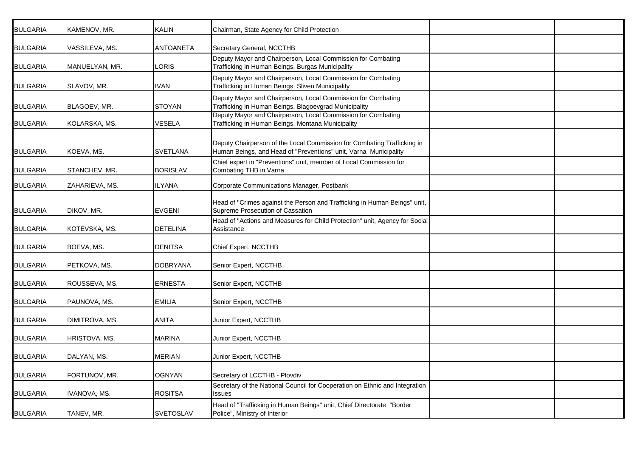| <b>BULGARIA</b> | KAMENOV, MR.   | <b>KALIN</b>     | Chairman, State Agency for Child Protection                                                                                                 |  |
|-----------------|----------------|------------------|---------------------------------------------------------------------------------------------------------------------------------------------|--|
| <b>BULGARIA</b> | VASSILEVA, MS. | <b>ANTOANETA</b> | Secretary General, NCCTHB                                                                                                                   |  |
| <b>BULGARIA</b> | MANUELYAN, MR. | <b>LORIS</b>     | Deputy Mayor and Chairperson, Local Commission for Combating<br>Trafficking in Human Beings, Burgas Municipality                            |  |
| <b>BULGARIA</b> | SLAVOV, MR.    | <b>IVAN</b>      | Deputy Mayor and Chairperson, Local Commission for Combating<br>Trafficking in Human Beings, Sliven Municipality                            |  |
| <b>BULGARIA</b> | BLAGOEV, MR.   | <b>STOYAN</b>    | Deputy Mayor and Chairperson, Local Commission for Combating<br>Trafficking in Human Beings, Blagoevgrad Municipality                       |  |
| <b>BULGARIA</b> | KOLARSKA, MS.  | <b>VESELA</b>    | Deputy Mayor and Chairperson, Local Commission for Combating<br>Trafficking in Human Beings, Montana Municipality                           |  |
| <b>BULGARIA</b> | KOEVA, MS.     | <b>SVETLANA</b>  | Deputy Chairperson of the Local Commission for Combating Trafficking in<br>Human Beings, and Head of "Preventions" unit, Varna Municipality |  |
| <b>BULGARIA</b> | STANCHEV, MR.  | <b>BORISLAV</b>  | Chief expert in "Preventions" unit, member of Local Commission for<br>Combating THB in Varna                                                |  |
| <b>BULGARIA</b> | ZAHARIEVA, MS. | ILYANA           | Corporate Communications Manager, Postbank                                                                                                  |  |
| <b>BULGARIA</b> | DIKOV, MR.     | <b>EVGENI</b>    | Head of "Crimes against the Person and Trafficking in Human Beings" unit,<br>Supreme Prosecution of Cassation                               |  |
| <b>BULGARIA</b> | KOTEVSKA, MS.  | <b>DETELINA</b>  | Head of "Actions and Measures for Child Protection" unit, Agency for Social<br>Assistance                                                   |  |
| <b>BULGARIA</b> | BOEVA, MS.     | <b>DENITSA</b>   | Chief Expert, NCCTHB                                                                                                                        |  |
| <b>BULGARIA</b> | PETKOVA, MS.   | <b>DOBRYANA</b>  | Senior Expert, NCCTHB                                                                                                                       |  |
| <b>BULGARIA</b> | ROUSSEVA, MS.  | <b>ERNESTA</b>   | Senior Expert, NCCTHB                                                                                                                       |  |
| <b>BULGARIA</b> | PAUNOVA, MS.   | <b>EMILIA</b>    | Senior Expert, NCCTHB                                                                                                                       |  |
| <b>BULGARIA</b> | DIMITROVA, MS. | <b>ANITA</b>     | Junior Expert, NCCTHB                                                                                                                       |  |
| <b>BULGARIA</b> | HRISTOVA, MS.  | <b>MARINA</b>    | Junior Expert, NCCTHB                                                                                                                       |  |
| <b>BULGARIA</b> | DALYAN, MS.    | <b>MERIAN</b>    | Junior Expert, NCCTHB                                                                                                                       |  |
| <b>BULGARIA</b> | FORTUNOV, MR.  | <b>OGNYAN</b>    | Secretary of LCCTHB - Plovdiv                                                                                                               |  |
| <b>BULGARIA</b> | IVANOVA, MS.   | <b>ROSITSA</b>   | Secretary of the National Council for Cooperation on Ethnic and Integration<br><b>Issues</b>                                                |  |
| <b>BULGARIA</b> | TANEV, MR.     | <b>SVETOSLAV</b> | Head of "Trafficking in Human Beings" unit, Chief Directorate "Border<br>Police", Ministry of Interior                                      |  |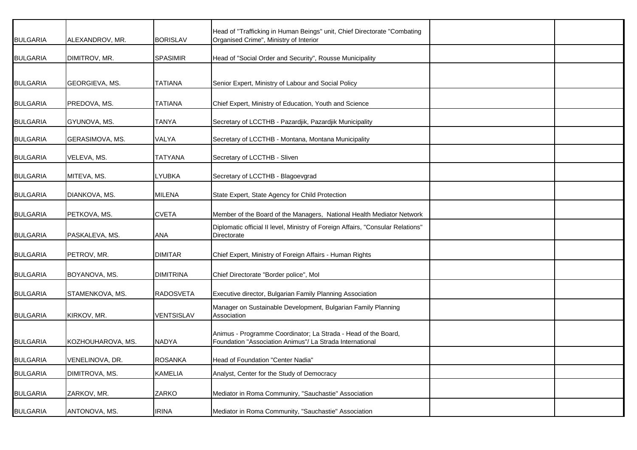| <b>BULGARIA</b> | ALEXANDROV, MR.   | <b>BORISLAV</b>  | Head of "Trafficking in Human Beings" unit, Chief Directorate "Combating<br>Organised Crime", Ministry of Interior         |  |
|-----------------|-------------------|------------------|----------------------------------------------------------------------------------------------------------------------------|--|
| <b>BULGARIA</b> | DIMITROV, MR.     | <b>SPASIMIR</b>  | Head of "Social Order and Security", Rousse Municipality                                                                   |  |
| <b>BULGARIA</b> | GEORGIEVA, MS.    | <b>TATIANA</b>   | Senior Expert, Ministry of Labour and Social Policy                                                                        |  |
| <b>BULGARIA</b> | PREDOVA, MS.      | <b>TATIANA</b>   | Chief Expert, Ministry of Education, Youth and Science                                                                     |  |
| <b>BULGARIA</b> | GYUNOVA, MS.      | <b>TANYA</b>     | Secretary of LCCTHB - Pazardjik, Pazardjik Municipality                                                                    |  |
| <b>BULGARIA</b> | GERASIMOVA, MS.   | <b>VALYA</b>     | Secretary of LCCTHB - Montana, Montana Municipality                                                                        |  |
| <b>BULGARIA</b> | VELEVA, MS.       | <b>TATYANA</b>   | Secretary of LCCTHB - Sliven                                                                                               |  |
| <b>BULGARIA</b> | MITEVA, MS.       | LYUBKA           | Secretary of LCCTHB - Blagoevgrad                                                                                          |  |
| <b>BULGARIA</b> | DIANKOVA, MS.     | <b>MILENA</b>    | State Expert, State Agency for Child Protection                                                                            |  |
| <b>BULGARIA</b> | PETKOVA, MS.      | <b>CVETA</b>     | Member of the Board of the Managers, National Health Mediator Network                                                      |  |
| <b>BULGARIA</b> | PASKALEVA, MS.    | ANA              | Diplomatic official II level, Ministry of Foreign Affairs, "Consular Relations"<br>Directorate                             |  |
| <b>BULGARIA</b> | PETROV, MR.       | <b>DIMITAR</b>   | Chief Expert, Ministry of Foreign Affairs - Human Rights                                                                   |  |
| <b>BULGARIA</b> | BOYANOVA, MS.     | <b>DIMITRINA</b> | Chief Directorate "Border police", Mol                                                                                     |  |
| <b>BULGARIA</b> | STAMENKOVA, MS.   | <b>RADOSVETA</b> | Executive director, Bulgarian Family Planning Association                                                                  |  |
| <b>BULGARIA</b> | KIRKOV, MR.       | VENTSISLAV       | Manager on Sustainable Development, Bulgarian Family Planning<br>Association                                               |  |
| <b>BULGARIA</b> | KOZHOUHAROVA, MS. | <b>NADYA</b>     | Animus - Programme Coordinator; La Strada - Head of the Board,<br>Foundation "Association Animus"/ La Strada International |  |
| <b>BULGARIA</b> | VENELINOVA, DR.   | <b>ROSANKA</b>   | Head of Foundation "Center Nadia"                                                                                          |  |
| <b>BULGARIA</b> | DIMITROVA, MS.    | <b>KAMELIA</b>   | Analyst, Center for the Study of Democracy                                                                                 |  |
| <b>BULGARIA</b> | ZARKOV, MR.       | ZARKO            | Mediator in Roma Communiry, "Sauchastie" Association                                                                       |  |
| <b>BULGARIA</b> | ANTONOVA, MS.     | <b>IRINA</b>     | Mediator in Roma Community, "Sauchastie" Association                                                                       |  |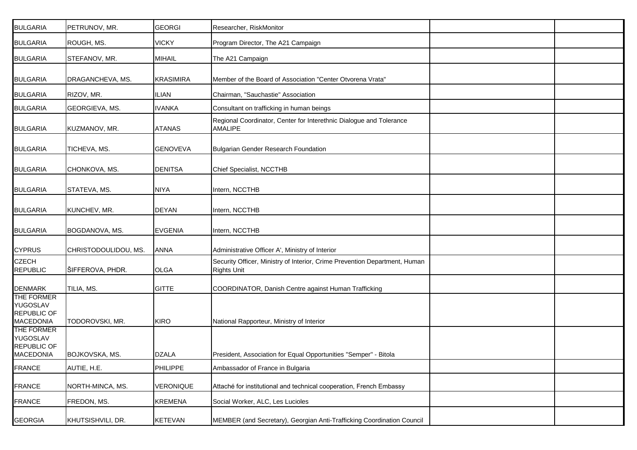| <b>BULGARIA</b>                                                  | PETRUNOV, MR.        | <b>GEORGI</b>    | Researcher, RiskMonitor                                                                          |  |
|------------------------------------------------------------------|----------------------|------------------|--------------------------------------------------------------------------------------------------|--|
| <b>BULGARIA</b>                                                  | ROUGH, MS.           | <b>VICKY</b>     | Program Director, The A21 Campaign                                                               |  |
| <b>BULGARIA</b>                                                  | STEFANOV, MR.        | <b>MIHAIL</b>    | The A21 Campaign                                                                                 |  |
| <b>BULGARIA</b>                                                  | DRAGANCHEVA, MS.     | <b>KRASIMIRA</b> | Member of the Board of Association "Center Otvorena Vrata"                                       |  |
| <b>BULGARIA</b>                                                  | RIZOV, MR.           | ILIAN            | Chairman, "Sauchastie" Association                                                               |  |
| <b>BULGARIA</b>                                                  | GEORGIEVA, MS.       | <b>IVANKA</b>    | Consultant on trafficking in human beings                                                        |  |
| <b>BULGARIA</b>                                                  | KUZMANOV, MR.        | <b>ATANAS</b>    | Regional Coordinator, Center for Interethnic Dialogue and Tolerance<br>AMALIPE                   |  |
| <b>BULGARIA</b>                                                  | TICHEVA, MS.         | <b>GENOVEVA</b>  | <b>Bulgarian Gender Research Foundation</b>                                                      |  |
| <b>BULGARIA</b>                                                  | CHONKOVA, MS.        | <b>DENITSA</b>   | Chief Specialist, NCCTHB                                                                         |  |
| <b>BULGARIA</b>                                                  | STATEVA, MS.         | <b>NIYA</b>      | Intern, NCCTHB                                                                                   |  |
| <b>BULGARIA</b>                                                  | KUNCHEV, MR.         | <b>DEYAN</b>     | Intern, NCCTHB                                                                                   |  |
| <b>BULGARIA</b>                                                  | BOGDANOVA, MS.       | <b>EVGENIA</b>   | Intern, NCCTHB                                                                                   |  |
| <b>CYPRUS</b>                                                    | CHRISTODOULIDOU, MS. | <b>ANNA</b>      | Administrative Officer A', Ministry of Interior                                                  |  |
| <b>CZECH</b><br><b>REPUBLIC</b>                                  | ŠIFFEROVA, PHDR.     | OLGA             | Security Officer, Ministry of Interior, Crime Prevention Department, Human<br><b>Rights Unit</b> |  |
| <b>DENMARK</b>                                                   | TILIA, MS.           | <b>GITTE</b>     | COORDINATOR, Danish Centre against Human Trafficking                                             |  |
| THE FORMER<br>YUGOSLAV<br><b>REPUBLIC OF</b><br><b>MACEDONIA</b> | TODOROVSKI, MR.      | <b>KIRO</b>      | National Rapporteur, Ministry of Interior                                                        |  |
| THE FORMER<br>YUGOSLAV<br>REPUBLIC OF<br><b>MACEDONIA</b>        | BOJKOVSKA, MS.       | <b>DZALA</b>     | President, Association for Equal Opportunities "Semper" - Bitola                                 |  |
| <b>FRANCE</b>                                                    | AUTIE, H.E.          | PHILIPPE         | Ambassador of France in Bulgaria                                                                 |  |
| <b>FRANCE</b>                                                    | NORTH-MINCA, MS.     | VERONIQUE        | Attaché for institutional and technical cooperation, French Embassy                              |  |
| FRANCE                                                           | FREDON, MS.          | <b>KREMENA</b>   | Social Worker, ALC, Les Lucioles                                                                 |  |
| <b>GEORGIA</b>                                                   | KHUTSISHVILI, DR.    | <b>KETEVAN</b>   | MEMBER (and Secretary), Georgian Anti-Trafficking Coordination Council                           |  |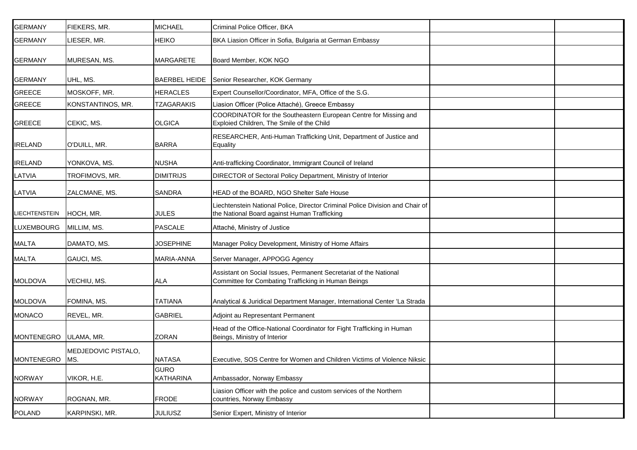| <b>GERMANY</b>       | FIEKERS, MR.        | <b>MICHAEL</b>           | Criminal Police Officer, BKA                                                                                                  |  |
|----------------------|---------------------|--------------------------|-------------------------------------------------------------------------------------------------------------------------------|--|
| GERMANY              | LIESER, MR.         | <b>HEIKO</b>             | BKA Liasion Officer in Sofia, Bulgaria at German Embassy                                                                      |  |
| <b>GERMANY</b>       | MURESAN, MS.        | <b>MARGARETE</b>         | Board Member, KOK NGO                                                                                                         |  |
| <b>GERMANY</b>       | UHL, MS.            | <b>BAERBEL HEIDE</b>     | Senior Researcher, KOK Germany                                                                                                |  |
| <b>GREECE</b>        | MOSKOFF, MR.        | <b>HERACLES</b>          | Expert Counsellor/Coordinator, MFA, Office of the S.G.                                                                        |  |
| <b>GREECE</b>        | KONSTANTINOS, MR.   | <b>TZAGARAKIS</b>        | Liasion Officer (Police Attaché), Greece Embassy                                                                              |  |
| <b>GREECE</b>        | CEKIC, MS.          | <b>OLGICA</b>            | COORDINATOR for the Southeastern European Centre for Missing and<br>Exploied Children, The Smile of the Child                 |  |
| <b>IRELAND</b>       | O'DUILL, MR.        | <b>BARRA</b>             | RESEARCHER, Anti-Human Trafficking Unit, Department of Justice and<br>Equality                                                |  |
| <b>IRELAND</b>       | YONKOVA, MS.        | <b>NUSHA</b>             | Anti-trafficking Coordinator, Immigrant Council of Ireland                                                                    |  |
| LATVIA               | TROFIMOVS, MR.      | <b>DIMITRIJS</b>         | DIRECTOR of Sectoral Policy Department, Ministry of Interior                                                                  |  |
| LATVIA               | ZALCMANE, MS.       | SANDRA                   | HEAD of the BOARD, NGO Shelter Safe House                                                                                     |  |
| <b>LIECHTENSTEIN</b> | HOCH, MR.           | <b>JULES</b>             | Liechtenstein National Police, Director Criminal Police Division and Chair of<br>the National Board against Human Trafficking |  |
| LUXEMBOURG           | MILLIM, MS.         | <b>PASCALE</b>           | Attaché, Ministry of Justice                                                                                                  |  |
| MALTA                | DAMATO, MS.         | <b>JOSEPHINE</b>         | Manager Policy Development, Ministry of Home Affairs                                                                          |  |
| <b>MALTA</b>         | GAUCI, MS.          | MARIA-ANNA               | Server Manager, APPOGG Agency                                                                                                 |  |
| <b>MOLDOVA</b>       | VECHIU, MS.         | ALA                      | Assistant on Social Issues, Permanent Secretariat of the National<br>Committee for Combating Trafficking in Human Beings      |  |
| <b>MOLDOVA</b>       | FOMINA, MS.         | <b>TATIANA</b>           | Analytical & Juridical Department Manager, International Center 'La Strada                                                    |  |
| <b>MONACO</b>        | REVEL, MR.          | <b>GABRIEL</b>           | Adjoint au Representant Permanent                                                                                             |  |
| <b>MONTENEGRO</b>    | ULAMA, MR.          | <b>ZORAN</b>             | Head of the Office-National Coordinator for Fight Trafficking in Human<br>Beings, Ministry of Interior                        |  |
| MONTENEGRO MS.       | MEDJEDOVIC PISTALO, | <b>NATASA</b>            | Executive, SOS Centre for Women and Children Victims of Violence Niksic                                                       |  |
| <b>NORWAY</b>        | VIKOR, H.E.         | <b>GURO</b><br>KATHARINA | Ambassador, Norway Embassy                                                                                                    |  |
| <b>NORWAY</b>        | ROGNAN, MR.         | <b>FRODE</b>             | Liasion Officer with the police and custom services of the Northern<br>countries, Norway Embassy                              |  |
| <b>POLAND</b>        | KARPINSKI, MR.      | <b>JULIUSZ</b>           | Senior Expert, Ministry of Interior                                                                                           |  |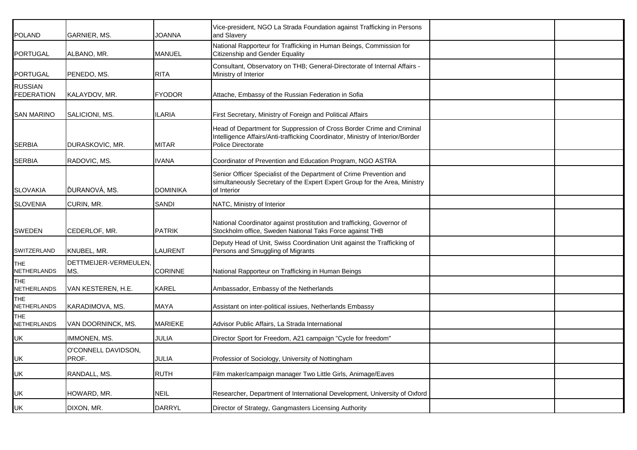| POLAND                       | <b>GARNIER, MS.</b>          | JOANNA          | Vice-president, NGO La Strada Foundation against Trafficking in Persons<br>and Slavery                                                                                               |  |
|------------------------------|------------------------------|-----------------|--------------------------------------------------------------------------------------------------------------------------------------------------------------------------------------|--|
| PORTUGAL                     | ALBANO, MR.                  | <b>MANUEL</b>   | National Rapporteur for Trafficking in Human Beings, Commission for<br><b>Citizenship and Gender Equality</b>                                                                        |  |
| PORTUGAL                     | PENEDO, MS.                  | <b>RITA</b>     | Consultant, Observatory on THB; General-Directorate of Internal Affairs -<br>Ministry of Interior                                                                                    |  |
| RUSSIAN<br><b>FEDERATION</b> | KALAYDOV, MR.                | <b>FYODOR</b>   | Attache, Embassy of the Russian Federation in Sofia                                                                                                                                  |  |
| SAN MARINO                   | SALICIONI, MS.               | <b>ILARIA</b>   | First Secretary, Ministry of Foreign and Political Affairs                                                                                                                           |  |
| SERBIA                       | DURASKOVIC, MR.              | <b>MITAR</b>    | Head of Department for Suppression of Cross Border Crime and Criminal<br>Intelligence Affairs/Anti-trafficking Coordinator, Ministry of Interior/Border<br><b>Police Directorate</b> |  |
| SERBIA                       | RADOVIC, MS.                 | <b>IVANA</b>    | Coordinator of Prevention and Education Program, NGO ASTRA                                                                                                                           |  |
| SLOVAKIA                     | ĎURANOVÁ, MS.                | <b>DOMINIKA</b> | Senior Officer Specialist of the Department of Crime Prevention and<br>simultaneously Secretary of the Expert Expert Group for the Area, Ministry<br>of Interior                     |  |
| SLOVENIA                     | CURIN, MR.                   | <b>SANDI</b>    | NATC, Ministry of Interior                                                                                                                                                           |  |
| SWEDEN                       | CEDERLOF, MR.                | <b>PATRIK</b>   | National Coordinator against prostitution and trafficking, Governor of<br>Stockholm office, Sweden National Taks Force against THB                                                   |  |
| SWITZERLAND                  | KNUBEL, MR.                  | <b>LAURENT</b>  | Deputy Head of Unit, Swiss Coordination Unit against the Trafficking of<br>Persons and Smuggling of Migrants                                                                         |  |
| THE<br><b>NETHERLANDS</b>    | DETTMEIJER-VERMEULEN,<br>MS. | <b>CORINNE</b>  | National Rapporteur on Trafficking in Human Beings                                                                                                                                   |  |
| THE<br>NETHERLANDS           | VAN KESTEREN, H.E.           | KAREL           | Ambassador, Embassy of the Netherlands                                                                                                                                               |  |
| THE.<br>NETHERLANDS          | KARADIMOVA, MS.              | MAYA            | Assistant on inter-political issiues, Netherlands Embassy                                                                                                                            |  |
| THE<br><b>NETHERLANDS</b>    | VAN DOORNINCK, MS.           | <b>MARIEKE</b>  | Advisor Public Affairs, La Strada International                                                                                                                                      |  |
| UK                           | IMMONEN, MS.                 | <b>JULIA</b>    | Director Sport for Freedom, A21 campaign "Cycle for freedom"                                                                                                                         |  |
| JK                           | O'CONNELL DAVIDSON,<br>PROF. | <b>JULIA</b>    | Professior of Sociology, University of Nottingham                                                                                                                                    |  |
| JK                           | RANDALL, MS.                 | <b>RUTH</b>     | Film maker/campaign manager Two Little Girls, Animage/Eaves                                                                                                                          |  |
| JK                           | HOWARD, MR.                  | <b>NEIL</b>     | Researcher, Department of International Development, University of Oxford                                                                                                            |  |
| JK                           | DIXON, MR.                   | <b>DARRYL</b>   | Director of Strategy, Gangmasters Licensing Authority                                                                                                                                |  |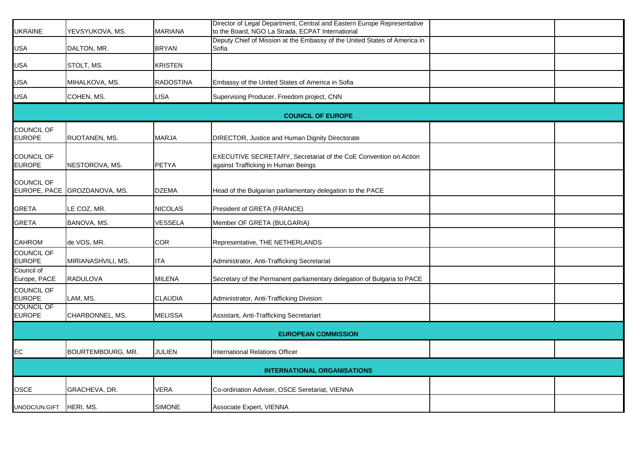| UKRAINE                            | YEVSYUKOVA, MS.    | <b>MARIANA</b>   | Director of Legal Department, Central and Eastern Europe Representative<br>to the Board, NGO La Strada, ECPAT International |  |  |  |
|------------------------------------|--------------------|------------------|-----------------------------------------------------------------------------------------------------------------------------|--|--|--|
| USA                                | DALTON, MR.        | <b>BRYAN</b>     | Deputy Chief of Mission at the Embassy of the United States of America in<br>Sofia                                          |  |  |  |
| USA                                | STOLT, MS.         | <b>KRISTEN</b>   |                                                                                                                             |  |  |  |
| USA                                | MIHALKOVA, MS.     | <b>RADOSTINA</b> | Embassy of the United States of America in Sofia                                                                            |  |  |  |
| USA                                | COHEN, MS.         | <b>LISA</b>      | Supervising Producer, Freedom project, CNN                                                                                  |  |  |  |
|                                    |                    |                  | <b>COUNCIL OF EUROPE</b>                                                                                                    |  |  |  |
| COUNCIL OF<br><b>EUROPE</b>        | RUOTANEN, MS.      | <b>MARJA</b>     | DIRECTOR, Justice and Human Dignity Directorate                                                                             |  |  |  |
| COUNCIL OF<br><b>EUROPE</b>        | NESTOROVA, MS.     | PETYA            | EXECUTIVE SECRETARY, Secretariat of the CoE Convention on Action<br>against Trafficking in Human Beings                     |  |  |  |
| COUNCIL OF<br>EUROPE, PACE         | GROZDANOVA, MS.    | <b>DZEMA</b>     | Head of the Bulgarian parliamentary delegation to the PACE                                                                  |  |  |  |
| GRETA                              | LE COZ, MR.        | <b>NICOLAS</b>   | President of GRETA (FRANCE)                                                                                                 |  |  |  |
| <b>GRETA</b>                       | BANOVA, MS.        | VESSELA          | Member OF GRETA (BULGARIA)                                                                                                  |  |  |  |
| CAHROM                             | de VOS, MR.        | COR              | Representative, THE NETHERLANDS                                                                                             |  |  |  |
| <b>COUNCIL OF</b><br><b>EUROPE</b> | MIRIANASHVILI, MS. | <b>ITA</b>       | Administrator, Anti-Trafficking Secretariat                                                                                 |  |  |  |
| Council of<br>Europe, PACE         | <b>RADULOVA</b>    | <b>MILENA</b>    | Secretary of the Permanent parliamentary delegation of Bulgaria to PACE                                                     |  |  |  |
| COUNCIL OF<br><b>EUROPE</b>        | LAM, MS.           | CLAUDIA          | Administrator, Anti-Trafficking Division                                                                                    |  |  |  |
| <b>COUNCIL OF</b><br><b>EUROPE</b> | CHARBONNEL, MS.    | <b>MELISSA</b>   | Assistant, Anti-Trafficking Secretariart                                                                                    |  |  |  |
| <b>EUROPEAN COMMISSION</b>         |                    |                  |                                                                                                                             |  |  |  |
| EC                                 | BOURTEMBOURG, MR.  | <b>JULIEN</b>    | <b>International Relations Officer</b>                                                                                      |  |  |  |
| <b>INTERNATIONAL ORGANISATIONS</b> |                    |                  |                                                                                                                             |  |  |  |
| OSCE                               | GRACHEVA, DR.      | <b>VERA</b>      | Co-ordination Adviser, OSCE Seretariat, VIENNA                                                                              |  |  |  |
| UNODC/UN.GIFT                      | HERI, MS.          | <b>SIMONE</b>    | Associate Expert, VIENNA                                                                                                    |  |  |  |